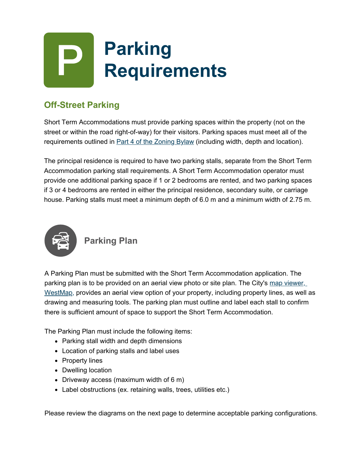# **Parking Requirements**

## **Off-Street Parking**

Short Term Accommodations must provide parking spaces within the property (not on the street or within the road right-of-way) for their visitors. Parking spaces must meet all of the requirements outlined in **[Part 4 of the Zoning Bylaw](https://www.westkelownacity.ca/en/city-hall/zoning.aspx)** (including width, depth and location).

The principal residence is required to have two parking stalls, separate from the Short Term Accommodation parking stall requirements. A Short Term Accommodation operator must provide one additional parking space if 1 or 2 bedrooms are rented, and two parking spaces if 3 or 4 bedrooms are rented in either the principal residence, secondary suite, or carriage house. Parking stalls must meet a minimum depth of 6.0 m and a minimum width of 2.75 m.



### **Parking Plan**

A Parking Plan must be submitted with the Short Term Accommodation application. The parking plan is to be provided on an aerial view photo or site plan. The City's map viewer, [WestMap, provides an aerial view option of your property, including property lines, as well](https://gis.westkelownacity.ca/Html5Viewer/Index.html?viewer=westmap) as drawing and measuring tools. The parking plan must outline and label each stall to confirm there is sufficient amount of space to support the Short Term Accommodation.

The Parking Plan must include the following items:

- Parking stall width and depth dimensions
- Location of parking stalls and label uses
- Property lines
- Dwelling location
- Driveway access (maximum width of 6 m)
- Label obstructions (ex. retaining walls, trees, utilities etc.)

Please review the diagrams on the next page to determine acceptable parking configurations.